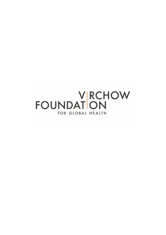# **FOUNDATON** FOR GLOBAL HEALTH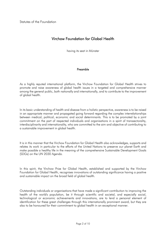Statutes of the Foundation

# Virchow Foundation for Global Health

having its seat in Münster

#### Preamble

As a highly reputed international platform, the Virchow Foundation for Global Health strives to promote and raise awareness of global health issues in a targeted and comprehensive manner among the general public, both nationally and internationally, and to contribute to the improvement of global health.

In its basic understanding of health and disease from a holistic perspective, awareness is to be raised in an appropriate manner and propagated going forward regarding the complex interrelationships between medical, political, economic and social determinants. This is to be promoted by a joint commitment on the part of respected individuals and organisations in a spirit of transsectorality, interdisciplinarity and internationality, who are committed to the aim and objective of contributing to a sustainable improvement in global health.

It is in this manner that the Virchow Foundation for Global Health also acknowledges, supports and relates its work in particular to the efforts of the United Nations to preserve our planet Earth and make possible a healthy life in the meaning of the comprehensive Sustainable Development Goals (SDGs) on the UN 2030 Agenda.

In this spirit, the Virchow Prize for Global Health, established and supported by the Virchow Foundation for Global Health, recognises innovations of outstanding significance having a positive and sustainable impact on the broad field of global health.

Outstanding individuals or organisations that have made a significant contribution to improving the health of the world's population, be it through scientific and societal, and especially social, technological or economic achievements and innovations, are to lend a personal element of identification for these great challenges through this internationally prominent award, but they are also to be honoured for their commitment to global health in an exceptional manner.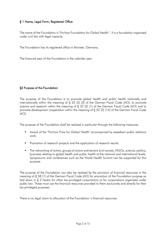## § 1 Name, Legal Form, Registered Office

The name of the Foundation is "Virchow Foundation for Global Health ". It is a foundation organised under civil law with legal capacity.

The Foundation has its registered office in Münster, Germany.

The financial year of the Foundation is the calendar year.

#### §2 Purpose of the Foundation

The purpose of the Foundation is to promote global health and public health nationally and internationally within the meaning of § 52 (2) (3) of the German Fiscal Code (AO), to promote science and research within the meaning of § 52 (2) (1) of the German Fiscal Code (AO) and to promote development cooperation within the meaning of § 52 (2) (14) of the German Fiscal Code  $(AO)$ .

The purpose of the Foundation shall be realised in particular through the following measures:

- § Award of the "Virchow Prize for Global Health" accompanied by expedient public relations work.
- Promotion of research projects and the application of research results.
- The networking of actors, groups of actors and sectors (civil society, NGOs, science, politics, business) relating to global health and public health at the national and international levels. Symposiums and conferences such as the World Health Summit can be supported for this purpose.

The purpose of the Foundation can also be realised by the provision of financial resources in the meaning of § 58 (1) of the German Fiscal Code (AO) for promotion of the Foundation purpose as laid down in § 2 herein for other tax-privileged corporations or for corporations organised under public law. These must use the financial resources provided to them exclusively and directly for their tax-privileged purposes.

There is no legal claim to allocation of the Foundation´s financial resources.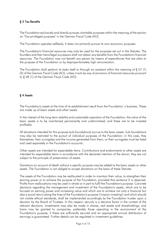# § 3 Tax Benefits

The Foundation exclusively and directly pursues charitable purposes within the meaning of the section on "Tax-privileged purposes" in the German Fiscal Code (AO).

The Foundation operates selflessly. It does not primarily pursue its own economic purposes.

The Foundation's financial resources may only be used for the purposes set out in the Statutes. The founders and their heirs/legal successors shall not obtain any benefits from the Foundation's financial resources. The Foundation may not benefit any person by means of expenditures that are alien to the purpose of the Foundation or by disproportionately high remuneration.

The Foundation shall perform its tasks itself or through an assistant within the meaning of § 57 (1) (2) of the German Fiscal Code (AO), unless it acts by way of provision of financial resources pursuant to § 58 (1) of the German Fiscal Code (AO).

## § 4 Assets

The Foundation's assets at the time of its establishment result from the Foundation´s business. These are made up of basic assets and other assets.

In the interest of the long-term stability and sustainable operation of the Foundation, the value of the basic assets is to be maintained permanently and undiminished, and these are to be invested profitably.

All donations intended for this purpose (sub-foundations) accrue to the basic assets. Sub-foundations may also be restricted to the pursuit of individual purposes of the Foundation; in this case, they themselves, their surrogates and the income generated from them, or their surrogates must be listed and used separately in the Foundation's accounts.

Other assets are intended for expendable items. Contributions and endowments to other assets are intended for expendable items in accordance with the declared intention of the donor; they are not subject to the principle of preservation of assets.

Donations on account of death without a specific purpose may be added to the basic assets or other assets. The Foundation is not obliged to accept donations on the basis of these Statutes.

The assets of the Foundation may be reallocated in order to maintain their value, to strengthen their earning power or to achieve the purpose of the Foundation, provided that sentence 2 is observed. Profits from reallocations may be used in whole or in part to fulfil the Foundation's purpose. Concrete decisions regarding the management and investment of the Foundation's assets, which are to be focused on earning power and increasing value and which are to achieve not only a financial but also a social return along the lines of the Foundation's purpose ("mission investing") and which should not violate ethical standards, shall be implemented accordingly by the Foundation trustee upon a decision by the Board of Trustees. In this respect, security is a decisive factor in the context of the relevant decisions. Investments may also be made in shares, real estate and shareholdings, and loans may be granted to companies, preferably those operating in the environment of the Foundation's purpose, if these are sufficiently secured and an appropriate annual distribution of earnings is guaranteed. Further details can be regulated in investment guidelines.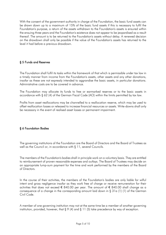With the consent of the government authority in charge of the Foundation, the basic fund assets can be drawn down up to a maximum of 15% of the basic fund assets if this is necessary to fulfil the Foundation's purpose, a return of the assets withdrawn to the Foundation's assets is ensured within the ensuing three years and the Foundation's existence does not appear to be jeopardised as a result thereof. The amount is to be returned to the Foundation's assets without delay. A renewed decision on the drawdown shall only be possible if the value of the Foundation's assets has returned to the level it had before a previous drawdown.

#### § 5 Funds and Reserves

The Foundation shall fulfil its tasks within the framework of that which is permissible under tax law in a timely manner from income from the Foundation's assets, other assets and any other donations, insofar as these are not expressly intended to aggrandise the basic assets, in particular donations. Administrative costs are to be covered in advance.

The Foundation may allocate its funds to free or earmarked reserves or to the basic assets in accordance with § 62 (4) of the German Fiscal Code (AO) within the limits permitted by tax law.

Profits from asset reallocations may be channelled to a reallocation reserve, which may be used to offset reallocation losses or released to increase financial resources or assets. Write-downs shall only be necessary in the event of realised asset losses or permanent impairment.

# § 6 Foundation Bodies

The governing institutions of the Foundation are the Board of Directors and the Board of Trustees as well as the Council or, in accordance with § 11, several Councils.

The members of the Foundation's bodies shall in principle work on a voluntary basis. They are entitled to reimbursement of proven reasonable expenses and outlays. The Board of Trustees may decide on an appropriate lump-sum payment for the time and work performed by the members of the Board of Directors.

In the course of their activities, the members of the Foundation's bodies are only liable for wilful intent and gross negligence insofar as they work free of charge or receive remuneration for their activities that does not exceed € 840.00 per year. The amount of € 840.00 shall change as a consequence of a change in the corresponding amount laid down in § 31a (1) (1) of the German Civil Code.

A member of one governing institution may not at the same time be a member of another governing institution, provided, however, that § 9 (4) and § 11 (5) take precedence by way of exception.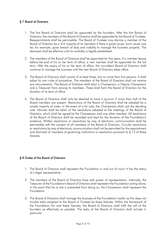## § 7 Board of Directors

- 1. The first Board of Directors shall be appointed by the founders. After the first Board of Directors, the members of the Board of Directors shall be appointed by the Board of Trustees. Reappointments shall be permissible. The Board of Trustees may dismiss a member of the Board of Directors by a 3/4 majority of its members if there is good cause. Such cause may be, for example, gross breach of duty and inability to manage the business properly. The dismissal shall be effective until its invalidity is legally established.
- 2. The members of the Board of Directors shall be appointed for five years. If a member leaves before the end of his or her term of office, a new member shall be appointed for the full term. After the expiry of his or her term of office, the incumbent Board of Directors shall continue to manage the business until the new Board of Directors takes office.
- 3. The Board of Directors shall consist of at least three, but no more than five persons. It shall adopt its own rules of procedure. The members of the Board of Directors shall not receive any remuneration. The Board of Directors shall elect a Chairperson, a Deputy Chairperson and a Treasurer from among its members. These shall form the Board of Directors for the duration of its term of office.
- 4. The Board of Directors shall only be deemed to have a quorum if more than half of the Board members are present. Resolutions of the Board of Directors shall be adopted by a simple majority of votes. In the event of a tie vote, the Chairperson shall cast the deciding vote. Minutes shall be taken of the resolutions adopted at the meetings of the Board of Directors, which shall be signed by the Chairperson and one other member. All resolutions of the Board of Directors shall be recorded and kept for the duration of the Foundation's existence. Written resolutions or resolutions by way of electronic communication shall be permissible with the consent of all members of the Board of Directors. Circular resolutions or resolutions by way of electronic communication shall not be permitted for the appointment and dismissal of members of governing institutions or resolutions pursuant to § 13 of these Statutes.

#### § 8 Duties of the Board of Directors

- 1. The Board of Directors shall represent the Foundation in and out of court. It has the status of a legal representative.
- 2. The members of the Board of Directors have sole power of representation. Internally, the Treasurer of the Foundation's Board of Directors shall represent the Foundation acting alone; in the event that he or she is prevented from doing so, the Chairperson shall represent the Foundation.
- 3. The Board of Directors shall manage the business of the Foundation insofar as this does not involve tasks assigned to the Board of Trustees by these Statutes. Within the framework of the Foundation Act and these Statutes, the Board of Directors shall fulfil the will of the founders as effectively as possible. The tasks of the Board of Directors shall include in particular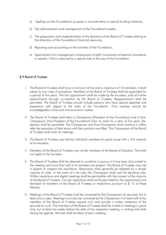- a) Spelling out the Foundation's purpose in concrete terms in special funding initiatives,
- b) The administration and management of the Foundation's assets,
- c) The preparation and implementation of the decisions of the Board of Trustees relating to the allocation of the Foundation's financial resources,
- d) Reporting and accounting on the activities of the Foundation,
- e) Appointment of a management, employment of staff, involvement of external consultants or experts, if this is required by a special task or the size of the Foundation.

#### § 9 Board of Trustees

- 1. The Board of Trustees shall have a minimum of five and a maximum of 15 members. It shall adopt its own rules of procedure. Members of the Board of Trustees shall be appointed for a period of five years. The first appointment shall be made by the founders, and all further appointments through co-optation by the Board of Trustees. Reappointment shall be permitted. The Board of Trustees should include persons who have special expertise and experience with regard to the tasks of the Foundation. One member should be knowledgeable in financial and economic matters.
- 2. The Board of Trustees shall elect a Chairperson [President of the Foundation] and a Vice-Chairperson [Vice-President of the Foundation] from its ranks for a term of five years. Reelection shall be permitted. The Chairperson and Vice-Chairperson shall continue in office after the expiration of their terms until their positions are filled. The Chairperson of the Board of Trustees shall chair its meetings.
- 3. The Board of Trustees may dismiss individual members for good cause with a 3/4 majority of its members.
- 4. Members of the Board of Trustees may not be members of the Board of Directors. This shall not apply to the founders.
- 5. The Board of Trustees shall be deemed to constitute a quorum if it has been duly invited to the meeting and more than half of its members are present. The Board of Trustees may call in experts to prepare the resolutions. Resolutions shall generally be adopted by a simple majority of votes. In the event of a tie vote, the Chairperson shall cast the deciding vote. Written resolutions and digital meetings shall be permissible with the consent of the majority of the Board of Trustees. Circular resolutions shall not be permitted for the appointment and dismissal of members of the Board of Trustees or resolutions pursuant to § 13 of these Statutes.
- 6. Meetings of the Board of Trustees shall be convened by the Chairperson as required, but at least once a year. Meetings must also be convened by the Chairperson if at least half of the members of the Board of Trustees request such and provide a written statement of the grounds for such. The members of the Board of Trustees shall be invited to meetings in good time, but at least two weeks before the date of the respective meeting, in writing and while stating the agenda. Minutes shall be taken of each meeting.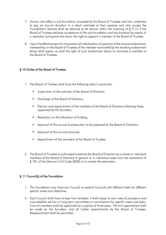- 7. Donors who effect a sub-foundation accepted by the Board of Trustees and who undertake to pay an annual donation in a deed notarised at their expense and who accept the Foundation's Statutes shall be deemed to be donors within the meaning of § 9 (1) if the Board of Trustees declares acceptance of the sub-foundation and the donation by means of a resolution and grants the donor the right to appoint a member of the Board of Trustees.
- 8. Upon the effectiveness of a revocation of a declaration of payment of the annual endowment, membership on the Board of Trustees of the member nominated by the revoking endowment donor shall expire, as shall the right of such endowment donor to nominate a member of the Board of Trustees.

#### § 10 Duties of the Board of Trustees

- 1. The Board of Trustees shall have the following tasks in particular:
	- § Supervision of the activities of the Board of Directors,
	- § Discharge of the Board of Directors,
	- Election and appointment of the members of the Board of Directors following those appointed by the founders,
	- Resolution on the allocation of funding,
	- Approval of the annual business plan to be prepared by the Board of Directors,
	- § Approval of the annual accounts,
	- § Appointment of the members of the Board of Trustees
- 2. The Board of Trustees is authorised to exempt the Board of Directors as a whole or individual members of the Board of Directors in general or in individual cases from the restrictions of § 181 of the German Civil Code (BGB) or to revoke the exemption.

#### § 11 Council(s) of the Foundation

- 1. The Foundation may have one Council or several Councils with different tasks for different specific areas and objectives.
- 2. Each Council shall have at least five members. It shall adopt its own rules of procedure and may establish ad hoc or long-term committees or commissions for specific areas and tasks. Council members shall be appointed for a period of three years. The first appointment shall be made by the founders, and all further appointments by the Board of Trustees. Reappointment shall be permitted.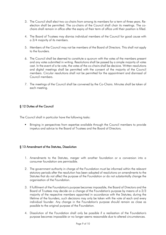- 3. The Council shall elect two co-chairs from among its members for a term of three years. Reelection shall be permitted. The co-chairs of the Council shall chair its meetings. The cochairs shall remain in office after the expiry of their term of office until their position is filled.
- 4. The Board of Trustees may dismiss individual members of the Council for good cause with a 3/4 majority of its members.
- 5. Members of the Council may not be members of the Board of Directors. This shall not apply to the founders.
- 6. The Council shall be deemed to constitute a quorum with the votes of the members present and any votes submitted in writing. Resolutions shall be passed by a simple majority of votes cast. In the event of a tie vote, the votes of the co-chairs shall be decisive. Written resolutions and digital meetings shall be permitted with the consent of the majority of the Council members. Circular resolutions shall not be permitted for the appointment and dismissal of Council members.
- 7. The meetings of the Council shall be convened by the Co-Chairs. Minutes shall be taken of each meeting.

## § 12 Duties of the Council

The Council shall in particular have the following tasks:

■ Bringing in perspectives from expertise available through the Council members to provide impetus and advice to the Board of Trustees and the Board of Directors.

#### § 13 Amendment of the Statutes, Dissolution

- 1. Amendments to the Statutes, merger with another foundation or a conversion into a consumer foundation are permissible.
- 2. The government authority in charge of the Foundation must be informed within the relevant statutory periods after the resolution has been adopted of resolutions on amendments to the Statutes that do not affect the purpose of the Foundation or do not substantially change the organisation of the Foundation.
- 3. If fulfilment of the Foundation's purpose becomes impossible, the Board of Directors and the Board of Trustees may decide on a change of the Foundation's purpose by means of a 2/3 majority of the respective members appointed in accordance with the Statutes; during the lifetime of the founders, such decisions may only be taken with the vote of each and every individual founder. Any change in the Foundation's purpose should remain as close as possible to the original purpose of the Foundation.
- 4. Dissolution of the Foundation shall only be possible if a realisation of the Foundation's purpose becomes impossible or no longer seems reasonable due to altered circumstances.